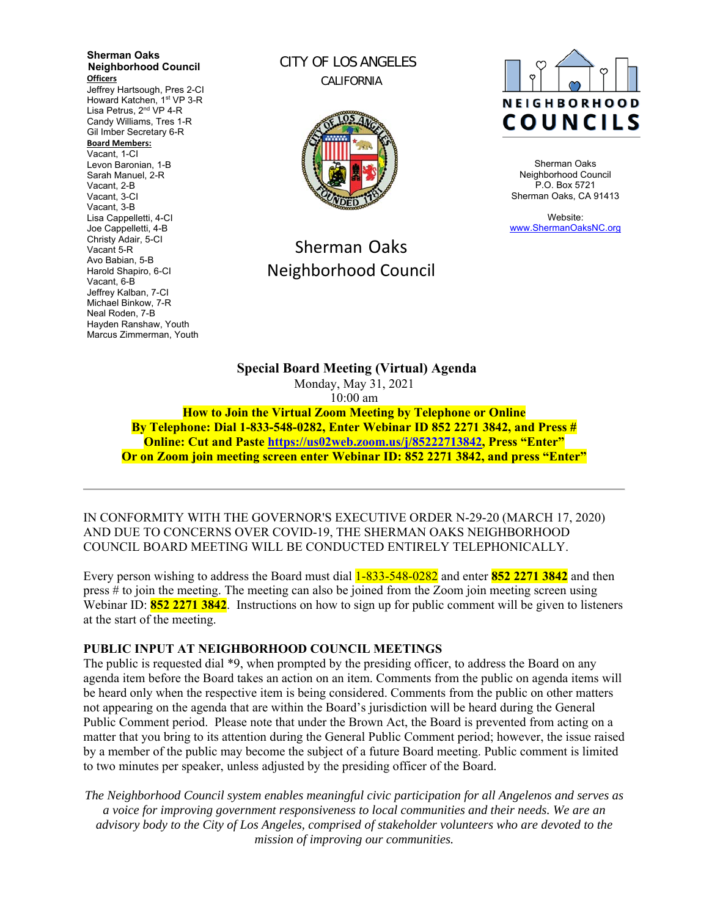**Sherman Oaks Neighborhood Council Officers**  Jeffrey Hartsough, Pres 2-CI Howard Katchen, 1<sup>st</sup> VP 3-R Lisa Petrus, 2<sup>nd</sup> VP 4-R Candy Williams, Tres 1-R Gil Imber Secretary 6-R **Board Members:** Vacant, 1-CI Levon Baronian, 1-B Sarah Manuel, 2-R Vacant, 2-B Vacant, 3-CI Vacant, 3-B Lisa Cappelletti, 4-CI Joe Cappelletti, 4-B Christy Adair, 5-CI Vacant 5-R Avo Babian, 5-B Harold Shapiro, 6-CI Vacant, 6-B Jeffrey Kalban, 7-CI Michael Binkow, 7-R Neal Roden, 7-B Hayden Ranshaw, Youth Marcus Zimmerman, Youth

CITY OF LOS ANGELES CALIFORNIA



# Sherman Oaks Neighborhood Council



Sherman Oaks Neighborhood Council P.O. Box 5721 Sherman Oaks, CA 91413

Website: www.ShermanOaksNC.org

**Special Board Meeting (Virtual) Agenda**  Monday, May 31, 2021 10:00 am **How to Join the Virtual Zoom Meeting by Telephone or Online** 

**By Telephone: Dial 1-833-548-0282, Enter Webinar ID 852 2271 3842, and Press # Online: Cut and Paste https://us02web.zoom.us/j/85222713842, Press "Enter" Or on Zoom join meeting screen enter Webinar ID: 852 2271 3842, and press "Enter"** 

IN CONFORMITY WITH THE GOVERNOR'S EXECUTIVE ORDER N-29-20 (MARCH 17, 2020) AND DUE TO CONCERNS OVER COVID-19, THE SHERMAN OAKS NEIGHBORHOOD COUNCIL BOARD MEETING WILL BE CONDUCTED ENTIRELY TELEPHONICALLY.

Every person wishing to address the Board must dial 1-833-548-0282 and enter **852 2271 3842** and then press # to join the meeting. The meeting can also be joined from the Zoom join meeting screen using Webinar ID: **852 2271 3842**. Instructions on how to sign up for public comment will be given to listeners at the start of the meeting.

#### **PUBLIC INPUT AT NEIGHBORHOOD COUNCIL MEETINGS**

The public is requested dial \*9, when prompted by the presiding officer, to address the Board on any agenda item before the Board takes an action on an item. Comments from the public on agenda items will be heard only when the respective item is being considered. Comments from the public on other matters not appearing on the agenda that are within the Board's jurisdiction will be heard during the General Public Comment period. Please note that under the Brown Act, the Board is prevented from acting on a matter that you bring to its attention during the General Public Comment period; however, the issue raised by a member of the public may become the subject of a future Board meeting. Public comment is limited to two minutes per speaker, unless adjusted by the presiding officer of the Board.

*The Neighborhood Council system enables meaningful civic participation for all Angelenos and serves as a voice for improving government responsiveness to local communities and their needs. We are an advisory body to the City of Los Angeles, comprised of stakeholder volunteers who are devoted to the mission of improving our communities.*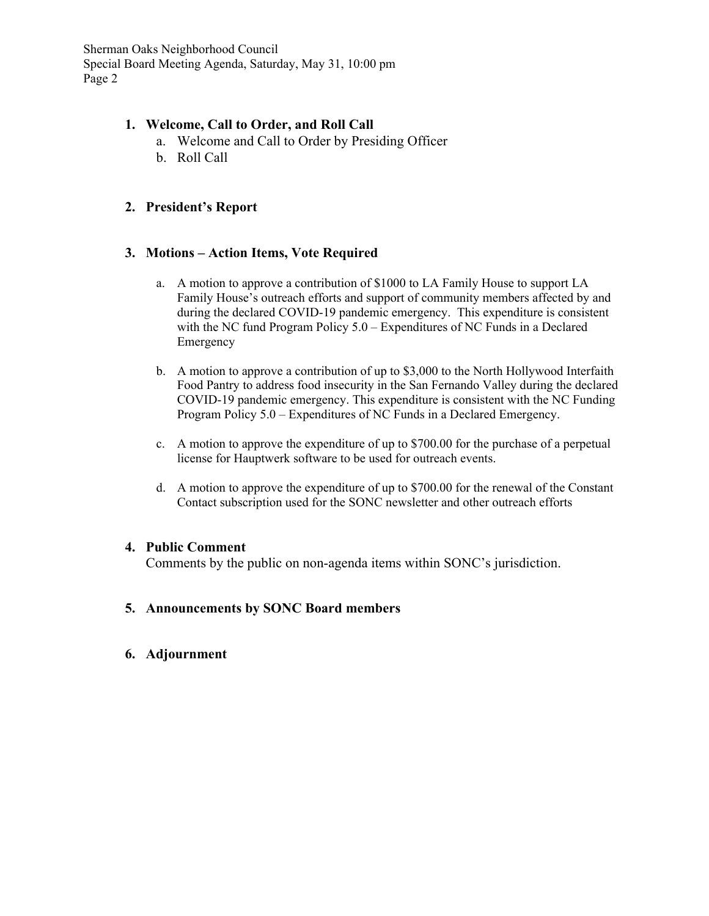Sherman Oaks Neighborhood Council Special Board Meeting Agenda, Saturday, May 31, 10:00 pm Page 2

## **1. Welcome, Call to Order, and Roll Call**

- a. Welcome and Call to Order by Presiding Officer
- b. Roll Call

# **2. President's Report**

## **3. Motions – Action Items, Vote Required**

- a. A motion to approve a contribution of \$1000 to LA Family House to support LA Family House's outreach efforts and support of community members affected by and during the declared COVID-19 pandemic emergency. This expenditure is consistent with the NC fund Program Policy 5.0 – Expenditures of NC Funds in a Declared Emergency
- b. A motion to approve a contribution of up to \$3,000 to the North Hollywood Interfaith Food Pantry to address food insecurity in the San Fernando Valley during the declared COVID-19 pandemic emergency. This expenditure is consistent with the NC Funding Program Policy 5.0 – Expenditures of NC Funds in a Declared Emergency.
- c. A motion to approve the expenditure of up to \$700.00 for the purchase of a perpetual license for Hauptwerk software to be used for outreach events.
- d. A motion to approve the expenditure of up to \$700.00 for the renewal of the Constant Contact subscription used for the SONC newsletter and other outreach efforts

## **4. Public Comment**

Comments by the public on non-agenda items within SONC's jurisdiction.

**5. Announcements by SONC Board members** 

## **6. Adjournment**